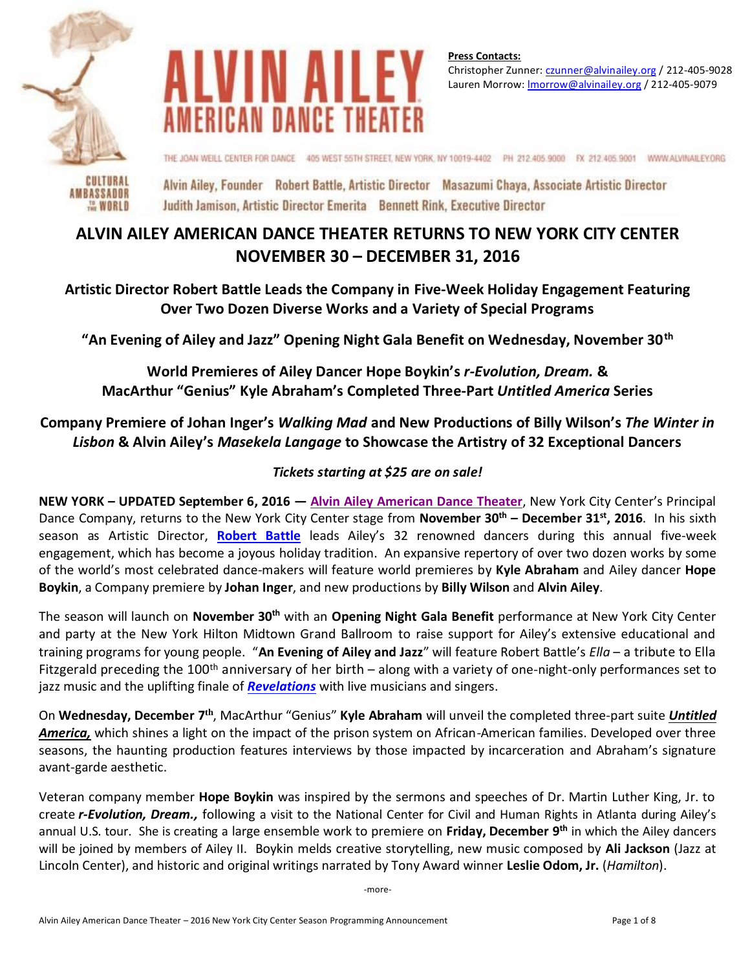

THE WORLD



**Press Contacts:**  Christopher Zunner[: czunner@alvinailey.org](mailto:czunner@alvinailey.org) / 212-405-9028 Lauren Morrow[: lmorrow@alvinailey.org](mailto:lmorrow@alvinailey.org) / 212-405-9079

THE JOAN WEILL CENTER FOR DANCE 405 WEST 55TH STREET, NEW YORK, NY 10019-4402 PH 212-405.9000 FX 212-405.9001 WWW.ALVINAILEY.ORG

Alvin Ailey, Founder Robert Battle, Artistic Director Masazumi Chaya, Associate Artistic Director Judith Jamison, Artistic Director Emerita Bennett Rink, Executive Director

# **ALVIN AILEY AMERICAN DANCE THEATER RETURNS TO NEW YORK CITY CENTER NOVEMBER 30 – DECEMBER 31, 2016**

**Artistic Director Robert Battle Leads the Company in Five-Week Holiday Engagement Featuring Over Two Dozen Diverse Works and a Variety of Special Programs**

**"An Evening of Ailey and Jazz" Opening Night Gala Benefit on Wednesday, November 30th**

**World Premieres of Ailey Dancer Hope Boykin's** *r-Evolution, Dream.* **& MacArthur "Genius" Kyle Abraham's Completed Three-Part** *Untitled America* **Series**

**Company Premiere of Johan Inger's** *Walking Mad* **and New Productions of Billy Wilson's** *The Winter in Lisbon* **& Alvin Ailey's** *Masekela Langage* **to Showcase the Artistry of 32 Exceptional Dancers**

# *Tickets starting at \$25 are on sale!*

**NEW YORK – UPDATED September 6, 2016 — [Alvin Ailey American Dance Theater](http://pressroom.alvinailey.org/alvin-ailey-american-dance-theater/)**, New York City Center's Principal Dance Company, returns to the New York City Center stage from **November 30th – December 31 st, 2016**. In his sixth season as Artistic Director, **[Robert Battle](http://pressroom.alvinailey.org/pr/ailey/category-page.aspx?ncid=22686)** leads Ailey's 32 renowned dancers during this annual five-week engagement, which has become a joyous holiday tradition. An expansive repertory of over two dozen works by some of the world's most celebrated dance-makers will feature world premieres by **Kyle Abraham** and Ailey dancer **Hope Boykin**, a Company premiere by **Johan Inger**, and new productions by **Billy Wilson** and **Alvin Ailey**.

The season will launch on **November 30th** with an **Opening Night Gala Benefit** performance at New York City Center and party at the New York Hilton Midtown Grand Ballroom to raise support for Ailey's extensive educational and training programs for young people. "**An Evening of Ailey and Jazz**" will feature Robert Battle's *Ella* – a tribute to Ella Fitzgerald preceding the 100<sup>th</sup> anniversary of her birth – along with a variety of one-night-only performances set to jazz music and the uplifting finale of *[Revelations](http://pressroom.alvinailey.org/alvin-ailey-american-dance-theater/repertory/revelations)* with live musicians and singers.

On Wednesday, December 7<sup>th</sup>, MacArthur "Genius" Kyle Abraham will unveil the completed three-part suite *Untitled America,* which shines a light on the impact of the prison system on African-American families. Developed over three seasons, the haunting production features interviews by those impacted by incarceration and Abraham's signature avant-garde aesthetic.

Veteran company member **Hope Boykin** was inspired by the sermons and speeches of Dr. Martin Luther King, Jr. to create *r-Evolution, Dream.,* following a visit to the National Center for Civil and Human Rights in Atlanta during Ailey's annual U.S. tour. She is creating a large ensemble work to premiere on **Friday, December 9th** in which the Ailey dancers will be joined by members of Ailey II. Boykin melds creative storytelling, new music composed by **Ali Jackson** (Jazz at Lincoln Center), and historic and original writings narrated by Tony Award winner **Leslie Odom, Jr.** (*Hamilton*).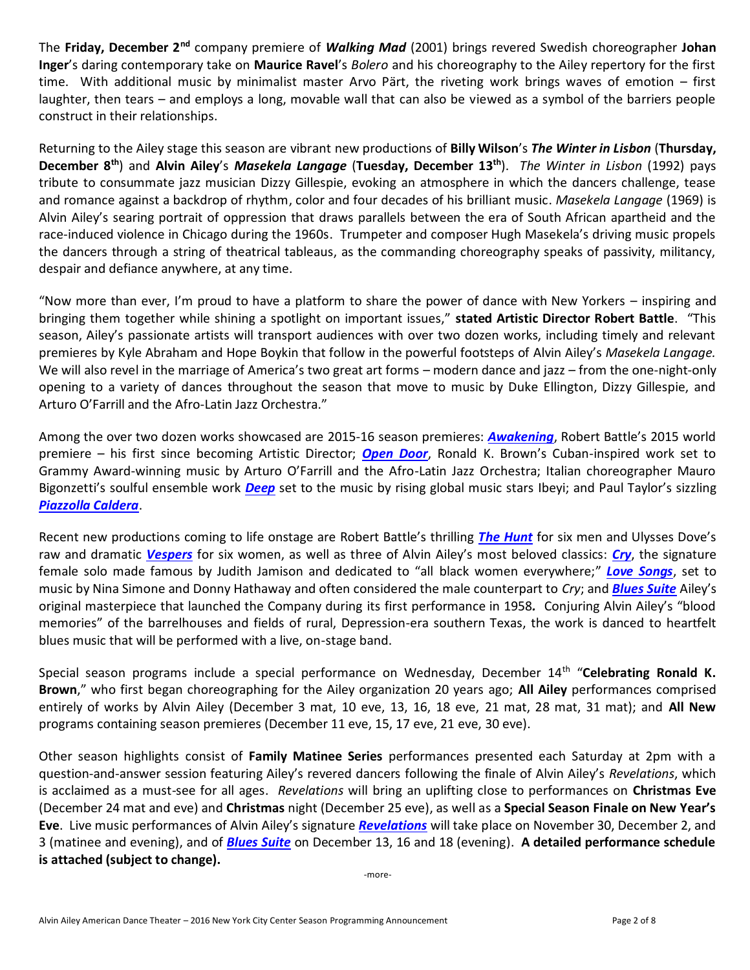The **Friday, December 2nd** company premiere of *Walking Mad* (2001) brings revered Swedish choreographer **Johan Inger**'s daring contemporary take on **Maurice Ravel**'s *Bolero* and his choreography to the Ailey repertory for the first time. With additional music by minimalist master Arvo Pärt, the riveting work brings waves of emotion – first laughter, then tears – and employs a long, movable wall that can also be viewed as a symbol of the barriers people construct in their relationships.

Returning to the Ailey stage this season are vibrant new productions of **Billy Wilson**'s *The Winter in Lisbon* (**Thursday, December 8th**) and **Alvin Ailey**'s *Masekela Langage* (**Tuesday, December 13th**). *The Winter in Lisbon* (1992) pays tribute to consummate jazz musician Dizzy Gillespie, evoking an atmosphere in which the dancers challenge, tease and romance against a backdrop of rhythm, color and four decades of his brilliant music. *Masekela Langage* (1969) is Alvin Ailey's searing portrait of oppression that draws parallels between the era of South African apartheid and the race-induced violence in Chicago during the 1960s. Trumpeter and composer Hugh Masekela's driving music propels the dancers through a string of theatrical tableaus, as the commanding choreography speaks of passivity, militancy, despair and defiance anywhere, at any time.

"Now more than ever, I'm proud to have a platform to share the power of dance with New Yorkers – inspiring and bringing them together while shining a spotlight on important issues," **stated Artistic Director Robert Battle**. "This season, Ailey's passionate artists will transport audiences with over two dozen works, including timely and relevant premieres by Kyle Abraham and Hope Boykin that follow in the powerful footsteps of Alvin Ailey's *Masekela Langage.*  We will also revel in the marriage of America's two great art forms – modern dance and jazz – from the one-night-only opening to a variety of dances throughout the season that move to music by Duke Ellington, Dizzy Gillespie, and Arturo O'Farrill and the Afro-Latin Jazz Orchestra."

Among the over two dozen works showcased are 2015-16 season premieres: *[Awakening](http://pressroom.alvinailey.org/alvin-ailey-american-dance-theater/repertory/awakening)*, Robert Battle's 2015 world premiere – his first since becoming Artistic Director; *[Open Door](http://pressroom.alvinailey.org/alvin-ailey-american-dance-theater/repertory/open-door)*, Ronald K. Brown's Cuban-inspired work set to Grammy Award-winning music by Arturo O'Farrill and the Afro-Latin Jazz Orchestra; Italian choreographer Mauro Bigonzetti's soulful ensemble work *[Deep](http://pressroom.alvinailey.org/alvin-ailey-american-dance-theater/repertory/deep)* set to the music by rising global music stars Ibeyi; and Paul Taylor's sizzling *[Piazzolla Caldera](http://pressroom.alvinailey.org/alvin-ailey-american-dance-theater/repertory/piazzolla-caldera)*.

Recent new productions coming to life onstage are Robert Battle's thrilling *[The Hunt](http://pressroom.alvinailey.org/alvin-ailey-american-dance-theater/repertory/the-hunt)* for six men and Ulysses Dove's raw and dramatic *[Vespers](http://pressroom.alvinailey.org/alvin-ailey-american-dance-theater/repertory/vespers)* for six women, as well as three of Alvin Ailey's most beloved classics: *[Cry](http://pressroom.alvinailey.org/alvin-ailey-american-dance-theater/repertory/cry)*, the signature female solo made famous by Judith Jamison and dedicated to "all black women everywhere;" *[Love Songs](http://pressroom.alvinailey.org/alvin-ailey-american-dance-theater/repertory/love-songs)*, set to music by Nina Simone and Donny Hathaway and often considered the male counterpart to *Cry*; and *[Blues Suite](http://pressroom.alvinailey.org/alvin-ailey-american-dance-theater/repertory/blues-suite)* Ailey's original masterpiece that launched the Company during its first performance in 1958*.* Conjuring Alvin Ailey's "blood memories" of the barrelhouses and fields of rural, Depression-era southern Texas, the work is danced to heartfelt blues music that will be performed with a live, on-stage band.

Special season programs include a special performance on Wednesday, December 14<sup>th</sup> "**Celebrating Ronald K. Brown**," who first began choreographing for the Ailey organization 20 years ago; **All Ailey** performances comprised entirely of works by Alvin Ailey (December 3 mat, 10 eve, 13, 16, 18 eve, 21 mat, 28 mat, 31 mat); and **All New** programs containing season premieres (December 11 eve, 15, 17 eve, 21 eve, 30 eve).

Other season highlights consist of **Family Matinee Series** performances presented each Saturday at 2pm with a question-and-answer session featuring Ailey's revered dancers following the finale of Alvin Ailey's *Revelations*, which is acclaimed as a must-see for all ages. *Revelations* will bring an uplifting close to performances on **Christmas Eve** (December 24 mat and eve) and **Christmas** night (December 25 eve), as well as a **Special Season Finale on New Year's Eve**. Live music performances of Alvin Ailey's signature *[Revelations](http://pressroom.alvinailey.org/alvin-ailey-american-dance-theater/repertory/revelations)* will take place on November 30, December 2, and 3 (matinee and evening), and of *[Blues Suite](http://pressroom.alvinailey.org/alvin-ailey-american-dance-theater/repertory/blues-suite)* on December 13, 16 and 18 (evening). **A detailed performance schedule is attached (subject to change).** 

-more-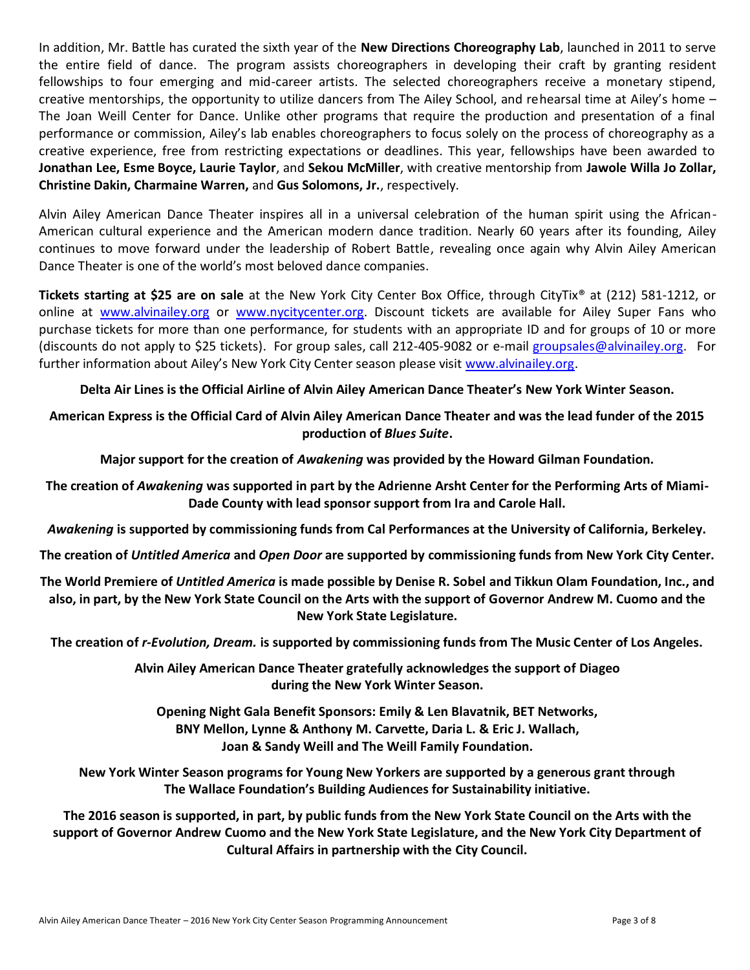In addition, Mr. Battle has curated the sixth year of the **New Directions Choreography Lab**, launched in 2011 to serve the entire field of dance. The program assists choreographers in developing their craft by granting resident fellowships to four emerging and mid-career artists. The selected choreographers receive a monetary stipend, creative mentorships, the opportunity to utilize dancers from The Ailey School, and rehearsal time at Ailey's home – The Joan Weill Center for Dance. Unlike other programs that require the production and presentation of a final performance or commission, Ailey's lab enables choreographers to focus solely on the process of choreography as a creative experience, free from restricting expectations or deadlines. This year, fellowships have been awarded to **Jonathan Lee, Esme Boyce, Laurie Taylor**, and **Sekou McMiller**, with creative mentorship from **Jawole Willa Jo Zollar, Christine Dakin, Charmaine Warren,** and **Gus Solomons, Jr.**, respectively.

Alvin Ailey American Dance Theater inspires all in a universal celebration of the human spirit using the African-American cultural experience and the American modern dance tradition. Nearly 60 years after its founding, Ailey continues to move forward under the leadership of Robert Battle, revealing once again why Alvin Ailey American Dance Theater is one of the world's most beloved dance companies.

**Tickets starting at \$25 are on sale** at the New York City Center Box Office, through CityTix® at (212) 581-1212, or online at [www.alvinailey.org](http://www.alvinailey.org/) or [www.nycitycenter.org.](http://www.nycitycenter.org/) Discount tickets are available for Ailey Super Fans who purchase tickets for more than one performance, for students with an appropriate ID and for groups of 10 or more (discounts do not apply to \$25 tickets). For group sales, call 212-405-9082 or e-mail [groupsales@alvinailey.org.](mailto:groupsales@alvinailey.org) For further information about Ailey's New York City Center season please visi[t www.alvinailey.org.](http://www.alvinailey.org/)

# **Delta Air Lines is the Official Airline of Alvin Ailey American Dance Theater's New York Winter Season.**

**American Express is the Official Card of Alvin Ailey American Dance Theater and was the lead funder of the 2015 production of** *Blues Suite***.**

**Major support for the creation of** *Awakening* **was provided by the Howard Gilman Foundation.**

**The creation of** *Awakening* **was supported in part by the Adrienne Arsht Center for the Performing Arts of Miami-Dade County with lead sponsor support from Ira and Carole Hall.**

*Awakening* **is supported by commissioning funds from Cal Performances at the University of California, Berkeley.**

**The creation of** *Untitled America* **and** *Open Door* **are supported by commissioning funds from New York City Center.**

**The World Premiere of** *Untitled America* **is made possible by Denise R. Sobel and Tikkun Olam Foundation, Inc., and also, in part, by the New York State Council on the Arts with the support of Governor Andrew M. Cuomo and the New York State Legislature.**

**The creation of** *r-Evolution, Dream.* **is supported by commissioning funds from The Music Center of Los Angeles.**

**Alvin Ailey American Dance Theater gratefully acknowledges the support of Diageo during the New York Winter Season.**

**Opening Night Gala Benefit Sponsors: Emily & Len Blavatnik, BET Networks, BNY Mellon, Lynne & Anthony M. Carvette, Daria L. & Eric J. Wallach, Joan & Sandy Weill and The Weill Family Foundation.**

**New York Winter Season programs for Young New Yorkers are supported by a generous grant through The Wallace Foundation's Building Audiences for Sustainability initiative.**

**The 2016 season is supported, in part, by public funds from the New York State Council on the Arts with the support of Governor Andrew Cuomo and the New York State Legislature, and the New York City Department of Cultural Affairs in partnership with the City Council.**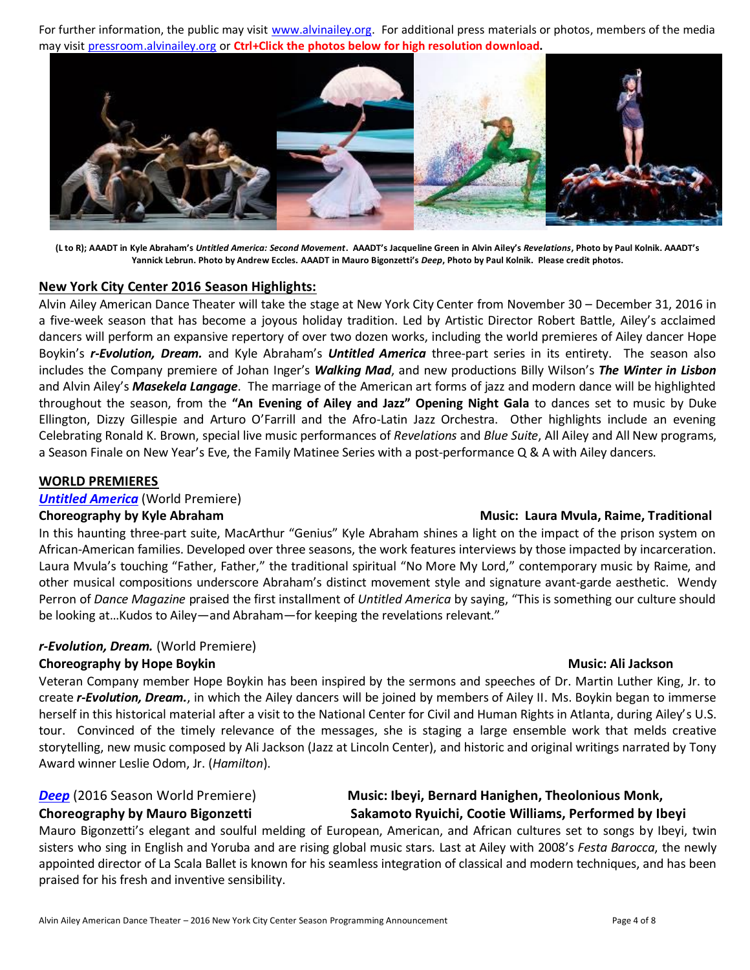For further information, the public may visit [www.alvinailey.org.](http://www.alvinailey.org/) For additional press materials or photos, members of the media may visit [pressroom.alvinailey.org](http://pressroom.alvinailey.org/internal_redirect/cms.ipressroom.com.s3.amazonaws.com/87/files/20155/MyStoryMyDanceBattleChildren%27sBookbySimon%26Schuster061115.pdf) or **Ctrl+Click the photos below for high resolution download.**



**(L to R); AAADT in Kyle Abraham's** *Untitled America: Second Movement***. AAADT's Jacqueline Green in Alvin Ailey's** *Revelations***, Photo by Paul Kolnik. AAADT's Yannick Lebrun. Photo by Andrew Eccles. AAADT in Mauro Bigonzetti's** *Deep***, Photo by Paul Kolnik. Please credit photos.**

# **New York City Center 2016 Season Highlights:**

Alvin Ailey American Dance Theater will take the stage at New York City Center from November 30 – December 31, 2016 in a five-week season that has become a joyous holiday tradition. Led by Artistic Director Robert Battle, Ailey's acclaimed dancers will perform an expansive repertory of over two dozen works, including the world premieres of Ailey dancer Hope Boykin's *r-Evolution, Dream.* and Kyle Abraham's *Untitled America* three-part series in its entirety. The season also includes the Company premiere of Johan Inger's *Walking Mad*, and new productions Billy Wilson's *The Winter in Lisbon* and Alvin Ailey's *Masekela Langage*. The marriage of the American art forms of jazz and modern dance will be highlighted throughout the season, from the **"An Evening of Ailey and Jazz" Opening Night Gala** to dances set to music by Duke Ellington, Dizzy Gillespie and Arturo O'Farrill and the Afro-Latin Jazz Orchestra. Other highlights include an evening Celebrating Ronald K. Brown, special live music performances of *Revelations* and *Blue Suite*, All Ailey and All New programs, a Season Finale on New Year's Eve, the Family Matinee Series with a post-performance Q & A with Ailey dancers.

## **WORLD PREMIERES**

*[Untitled America](http://pressroom.alvinailey.org/alvin-ailey-american-dance-theater/repertory/untitled-america)* (World Premiere)

In this haunting three-part suite, MacArthur "Genius" Kyle Abraham shines a light on the impact of the prison system on African-American families. Developed over three seasons, the work features interviews by those impacted by incarceration. Laura Mvula's touching "Father, Father," the traditional spiritual "No More My Lord," contemporary music by Raime, and other musical compositions underscore Abraham's distinct movement style and signature avant-garde aesthetic. Wendy Perron of *Dance Magazine* praised the first installment of *Untitled America* by saying, "This is something our culture should be looking at…Kudos to Ailey—and Abraham—for keeping the revelations relevant."

# *r-Evolution, Dream.* (World Premiere)

# **Choreography by Hope Boykin Music: Ali Jackson Music: Ali Jackson**

Veteran Company member Hope Boykin has been inspired by the sermons and speeches of Dr. Martin Luther King, Jr. to create *r-Evolution, Dream.*, in which the Ailey dancers will be joined by members of Ailey II. Ms. Boykin began to immerse herself in this historical material after a visit to the National Center for Civil and Human Rights in Atlanta, during Ailey's U.S. tour. Convinced of the timely relevance of the messages, she is staging a large ensemble work that melds creative storytelling, new music composed by Ali Jackson (Jazz at Lincoln Center), and historic and original writings narrated by Tony Award winner Leslie Odom, Jr. (*Hamilton*).

# *[Deep](http://pressroom.alvinailey.org/alvin-ailey-american-dance-theater/repertory/deep)* (2016 Season World Premiere) **Music: Ibeyi, Bernard Hanighen, Theolonious Monk, Choreography by Mauro Bigonzetti Sakamoto Ryuichi, Cootie Williams, Performed by Ibeyi**

Mauro Bigonzetti's elegant and soulful melding of European, American, and African cultures set to songs by Ibeyi, twin sisters who sing in English and Yoruba and are rising global music stars. Last at Ailey with 2008's *Festa Barocca*, the newly appointed director of La Scala Ballet is known for his seamless integration of classical and modern techniques, and has been praised for his fresh and inventive sensibility.

# **Choreography by Kyle Abraham Music: Laura Mvula, Raime, Traditional**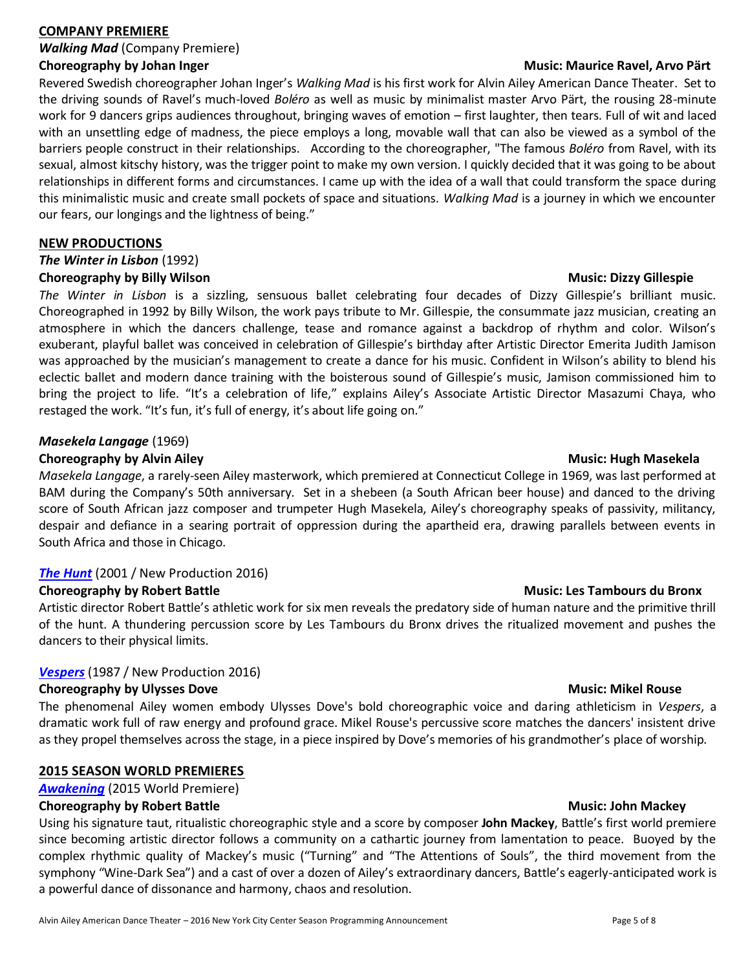## **COMPANY PREMIERE**

*Walking Mad* (Company Premiere)

Revered Swedish choreographer Johan Inger's *Walking Mad* is his first work for Alvin Ailey American Dance Theater. Set to the driving sounds of Ravel's much-loved *Boléro* as well as music by minimalist master Arvo Pärt, the rousing 28-minute work for 9 dancers grips audiences throughout, bringing waves of emotion – first laughter, then tears. Full of wit and laced with an unsettling edge of madness, the piece employs a long, movable wall that can also be viewed as a symbol of the barriers people construct in their relationships. According to the choreographer, "The famous *Boléro* from Ravel, with its sexual, almost kitschy history, was the trigger point to make my own version. I quickly decided that it was going to be about relationships in different forms and circumstances. I came up with the idea of a wall that could transform the space during this minimalistic music and create small pockets of space and situations. *Walking Mad* is a journey in which we encounter our fears, our longings and the lightness of being."

### **NEW PRODUCTIONS**

# *The Winter in Lisbon* (1992)

# **Choreography by Billy Wilson Music: Dizzy Gillespie**

*The Winter in Lisbon* is a sizzling, sensuous ballet celebrating four decades of Dizzy Gillespie's brilliant music. Choreographed in 1992 by Billy Wilson, the work pays tribute to Mr. Gillespie, the consummate jazz musician, creating an atmosphere in which the dancers challenge, tease and romance against a backdrop of rhythm and color. Wilson's exuberant, playful ballet was conceived in celebration of Gillespie's birthday after Artistic Director Emerita Judith Jamison was approached by the musician's management to create a dance for his music. Confident in Wilson's ability to blend his eclectic ballet and modern dance training with the boisterous sound of Gillespie's music, Jamison commissioned him to bring the project to life. "It's a celebration of life," explains Ailey's Associate Artistic Director Masazumi Chaya, who restaged the work. "It's fun, it's full of energy, it's about life going on."

# *Masekela Langage* (1969) **Choreography by Alvin Ailey Music: Hugh Masekela Music: Hugh Masekela Music: Hugh Masekela**

*Masekela Langage*, a rarely-seen Ailey masterwork, which premiered at Connecticut College in 1969, was last performed at BAM during the Company's 50th anniversary. Set in a shebeen (a South African beer house) and danced to the driving score of South African jazz composer and trumpeter Hugh Masekela, Ailey's choreography speaks of passivity, militancy, despair and defiance in a searing portrait of oppression during the apartheid era, drawing parallels between events in South Africa and those in Chicago.

# *[The Hunt](http://pressroom.alvinailey.org/alvin-ailey-american-dance-theater/repertory/the-hunt)* (2001 / New Production 2016)

# **Choreography by Robert Battle <b>Music: Les Tambours du Bronx Choreography by Robert Battle**

Artistic director Robert Battle's athletic work for six men reveals the predatory side of human nature and the primitive thrill of the hunt. A thundering percussion score by Les Tambours du Bronx drives the ritualized movement and pushes the dancers to their physical limits.

# *[Vespers](http://pressroom.alvinailey.org/alvin-ailey-american-dance-theater/repertory/vespers)* (1987 / New Production 2016)

### **Choreography by Ulysses Dove****Music: Mikel Rouse**

The phenomenal Ailey women embody Ulysses Dove's bold choreographic voice and daring athleticism in *Vespers*, a dramatic work full of raw energy and profound grace. Mikel Rouse's percussive score matches the dancers' insistent drive as they propel themselves across the stage, in a piece inspired by Dove's memories of his grandmother's place of worship.

# **2015 SEASON WORLD PREMIERES**

# *[Awakening](http://pressroom.alvinailey.org/alvin-ailey-american-dance-theater/repertory/awakening)* (2015 World Premiere)

# **Choreography by Robert Battle <b>Music: John Mackey Music: John Mackey Music: John Mackey**

Using his signature taut, ritualistic choreographic style and a score by composer **John Mackey**, Battle's first world premiere since becoming artistic director follows a community on a cathartic journey from lamentation to peace. Buoyed by the complex rhythmic quality of Mackey's music ("Turning" and "The Attentions of Souls", the third movement from the symphony "Wine-Dark Sea") and a cast of over a dozen of Ailey's extraordinary dancers, Battle's eagerly-anticipated work is a powerful dance of dissonance and harmony, chaos and resolution.

### **Choreography by Johan Inger Music: Maurice Ravel, Arvo Pärt**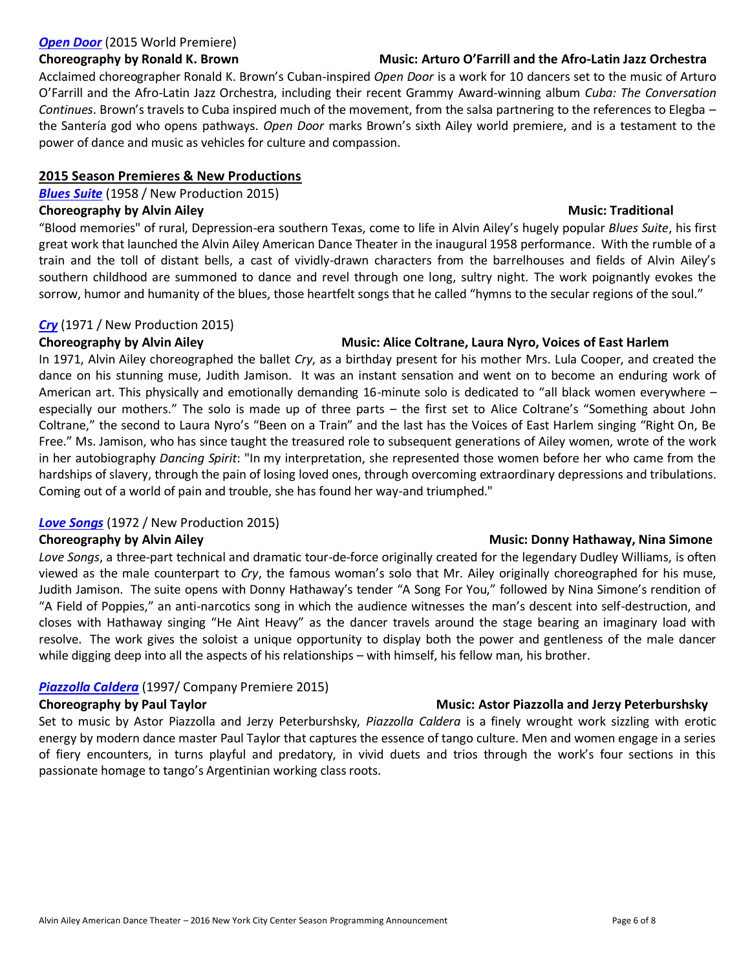# *[Open Door](http://pressroom.alvinailey.org/alvin-ailey-american-dance-theater/repertory/open-door)* (2015 World Premiere)

# **Choreography by Ronald K. Brown Music: Arturo O'Farrill and the Afro-Latin Jazz Orchestra**

# Acclaimed choreographer Ronald K. Brown's Cuban-inspired *Open Door* is a work for 10 dancers set to the music of Arturo O'Farrill and the Afro-Latin Jazz Orchestra, including their recent Grammy Award-winning album *Cuba: The Conversation Continues*. Brown's travels to Cuba inspired much of the movement, from the salsa partnering to the references to Elegba – the Santería god who opens pathways. *Open Door* marks Brown's sixth Ailey world premiere, and is a testament to the power of dance and music as vehicles for culture and compassion.

# **2015 Season Premieres & New Productions**

*[Blues Suite](http://pressroom.alvinailey.org/alvin-ailey-american-dance-theater/repertory/blues-suite)* (1958 / New Production 2015)

# **Choreography by Alvin Ailey Music: Traditional Music: Traditional Music: Traditional**

"Blood memories" of rural, Depression-era southern Texas, come to life in Alvin Ailey's hugely popular *Blues Suite*, his first great work that launched the Alvin Ailey American Dance Theater in the inaugural 1958 performance. With the rumble of a train and the toll of distant bells, a cast of vividly-drawn characters from the barrelhouses and fields of Alvin Ailey's southern childhood are summoned to dance and revel through one long, sultry night. The work poignantly evokes the sorrow, humor and humanity of the blues, those heartfelt songs that he called "hymns to the secular regions of the soul."

# *[Cry](http://pressroom.alvinailey.org/alvin-ailey-american-dance-theater/repertory/cry)* (1971 / New Production 2015)

# **Choreography by Alvin Ailey Music: Alice Coltrane, Laura Nyro, Voices of East Harlem** In 1971, Alvin Ailey choreographed the ballet *Cry*, as a birthday present for his mother Mrs. Lula Cooper, and created the dance on his stunning muse, Judith Jamison. It was an instant sensation and went on to become an enduring work of American art. This physically and emotionally demanding 16-minute solo is dedicated to "all black women everywhere – especially our mothers." The solo is made up of three parts – the first set to Alice Coltrane's "Something about John Coltrane," the second to Laura Nyro's "Been on a Train" and the last has the Voices of East Harlem singing "Right On, Be Free." Ms. Jamison, who has since taught the treasured role to subsequent generations of Ailey women, wrote of the work in her autobiography *Dancing Spirit*: "In my interpretation, she represented those women before her who came from the hardships of slavery, through the pain of losing loved ones, through overcoming extraordinary depressions and tribulations. Coming out of a world of pain and trouble, she has found her way-and triumphed."

# *[Love Songs](http://pressroom.alvinailey.org/alvin-ailey-american-dance-theater/repertory/love-songs)* (1972 / New Production 2015)

*Love Songs*, a three-part technical and dramatic tour-de-force originally created for the legendary Dudley Williams, is often viewed as the male counterpart to *Cry*, the famous woman's solo that Mr. Ailey originally choreographed for his muse, Judith Jamison. The suite opens with Donny Hathaway's tender "A Song For You," followed by Nina Simone's rendition of "A Field of Poppies," an anti-narcotics song in which the audience witnesses the man's descent into self-destruction, and closes with Hathaway singing "He Aint Heavy" as the dancer travels around the stage bearing an imaginary load with resolve. The work gives the soloist a unique opportunity to display both the power and gentleness of the male dancer while digging deep into all the aspects of his relationships – with himself, his fellow man, his brother.

# *[Piazzolla Caldera](http://pressroom.alvinailey.org/alvin-ailey-american-dance-theater/repertory/piazzolla-caldera)* (1997/ Company Premiere 2015)

# **Choreography by Paul Taylor Music: Astor Piazzolla and Jerzy Peterburshsky**

Set to music by Astor Piazzolla and Jerzy Peterburshsky, *Piazzolla Caldera* is a finely wrought work sizzling with erotic energy by modern dance master Paul Taylor that captures the essence of tango culture. Men and women engage in a series of fiery encounters, in turns playful and predatory, in vivid duets and trios through the work's four sections in this passionate homage to tango's Argentinian working class roots.

# **Choreography by Alvin Ailey Music: Donny Hathaway, Nina Simone**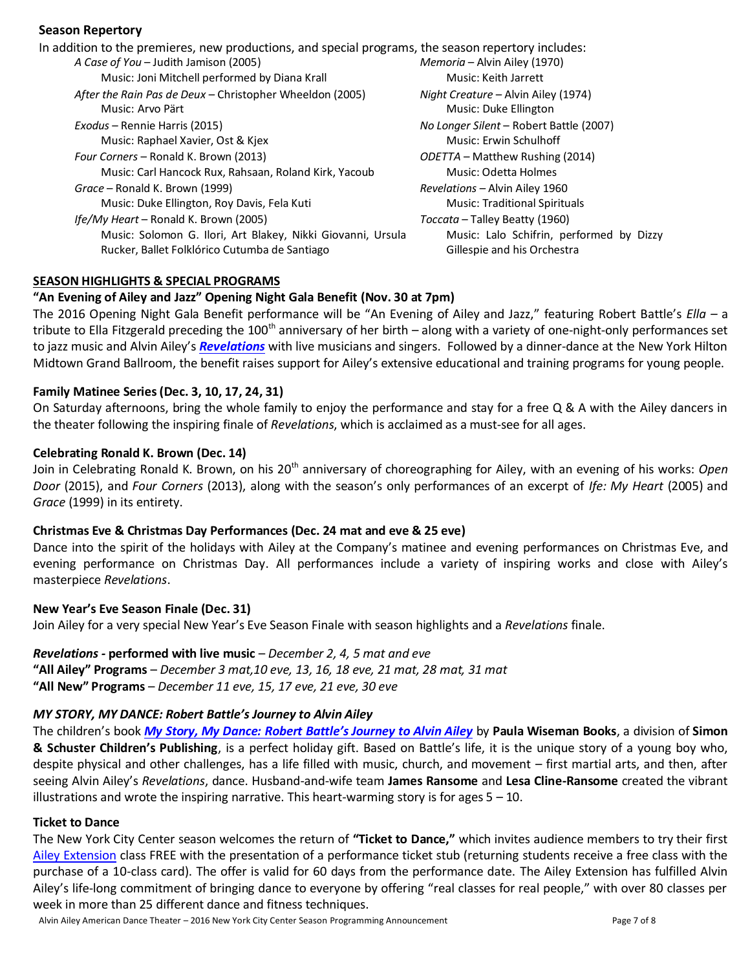# **Season Repertory**

| In addition to the premieres, new productions, and special programs, the season repertory includes: |                                          |
|-----------------------------------------------------------------------------------------------------|------------------------------------------|
| A Case of You - Judith Jamison (2005)                                                               | Memoria - Alvin Ailey (1970)             |
| Music: Joni Mitchell performed by Diana Krall                                                       | Music: Keith Jarrett                     |
| After the Rain Pas de Deux - Christopher Wheeldon (2005)                                            | Night Creature – Alvin Ailey (1974)      |
| Music: Arvo Pärt                                                                                    | Music: Duke Ellington                    |
| Exodus – Rennie Harris (2015)                                                                       | No Longer Silent - Robert Battle (2007)  |
| Music: Raphael Xavier, Ost & Kjex                                                                   | Music: Erwin Schulhoff                   |
| Four Corners - Ronald K. Brown (2013)                                                               | ODETTA – Matthew Rushing (2014)          |
| Music: Carl Hancock Rux, Rahsaan, Roland Kirk, Yacoub                                               | Music: Odetta Holmes                     |
| Grace – Ronald K. Brown (1999)                                                                      | Revelations - Alvin Ailey 1960           |
| Music: Duke Ellington, Roy Davis, Fela Kuti                                                         | <b>Music: Traditional Spirituals</b>     |
| Ife/My Heart - Ronald K. Brown (2005)                                                               | Toccata – Talley Beatty (1960)           |
| Music: Solomon G. Ilori, Art Blakey, Nikki Giovanni, Ursula                                         | Music: Lalo Schifrin, performed by Dizzy |
| Rucker, Ballet Folklórico Cutumba de Santiago                                                       | Gillespie and his Orchestra              |
|                                                                                                     |                                          |

### **SEASON HIGHLIGHTS & SPECIAL PROGRAMS**

# **"An Evening of Ailey and Jazz" Opening Night Gala Benefit (Nov. 30 at 7pm)**

The 2016 Opening Night Gala Benefit performance will be "An Evening of Ailey and Jazz," featuring Robert Battle's *Ella –* a tribute to Ella Fitzgerald preceding the 100<sup>th</sup> anniversary of her birth – along with a variety of one-night-only performances set to jazz music and Alvin Ailey's *[Revelations](http://pressroom.alvinailey.org/alvin-ailey-american-dance-theater/repertory/revelations)* with live musicians and singers. Followed by a dinner-dance at the New York Hilton Midtown Grand Ballroom, the benefit raises support for Ailey's extensive educational and training programs for young people.

### **Family Matinee Series (Dec. 3, 10, 17, 24, 31)**

On Saturday afternoons, bring the whole family to enjoy the performance and stay for a free Q & A with the Ailey dancers in the theater following the inspiring finale of *Revelations*, which is acclaimed as a must-see for all ages.

### **Celebrating Ronald K. Brown (Dec. 14)**

Join in Celebrating Ronald K. Brown, on his 20<sup>th</sup> anniversary of choreographing for Ailey, with an evening of his works: Open *Door* (2015), and *Four Corners* (2013), along with the season's only performances of an excerpt of *Ife: My Heart* (2005) and *Grace* (1999) in its entirety.

### **Christmas Eve & Christmas Day Performances (Dec. 24 mat and eve & 25 eve)**

Dance into the spirit of the holidays with Ailey at the Company's matinee and evening performances on Christmas Eve, and evening performance on Christmas Day. All performances include a variety of inspiring works and close with Ailey's masterpiece *Revelations*.

### **New Year's Eve Season Finale (Dec. 31)**

Join Ailey for a very special New Year's Eve Season Finale with season highlights and a *Revelations* finale.

# *Revelations -* **performed with live music** – *December 2, 4, 5 mat and eve*

**"All Ailey" Programs** – *December 3 mat,10 eve, 13, 16, 18 eve, 21 mat, 28 mat, 31 mat*  **"All New" Programs** – *December 11 eve, 15, 17 eve, 21 eve, 30 eve*

# *MY STORY, MY DANCE: Robert Battle's Journey to Alvin Ailey*

The children's book *[My Story, My Dance: Robert Battle's Journey to Alvin Ailey](http://pressroom.alvinailey.org/internal_redirect/cms.ipressroom.com.s3.amazonaws.com/87/files/20155/MyStoryMyDanceBattleChildren%27sBookbySimon%26Schuster061115.pdf)* by **Paula Wiseman Books**, a division of **Simon & Schuster Children's Publishing**, is a perfect holiday gift. Based on Battle's life, it is the unique story of a young boy who, despite physical and other challenges, has a life filled with music, church, and movement – first martial arts, and then, after seeing Alvin Ailey's *Revelations*, dance. Husband-and-wife team **James Ransome** and **Lesa Cline-Ransome** created the vibrant illustrations and wrote the inspiring narrative. This heart-warming story is for ages  $5 - 10$ .

# **Ticket to Dance**

The New York City Center season welcomes the return of **"Ticket to Dance,"** which invites audience members to try their first [Ailey Extension](http://pressroom.alvinailey.org/the-ailey-extension) class FREE with the presentation of a performance ticket stub (returning students receive a free class with the purchase of a 10-class card). The offer is valid for 60 days from the performance date. The Ailey Extension has fulfilled Alvin Ailey's life‐long commitment of bringing dance to everyone by offering "real classes for real people," with over 80 classes per week in more than 25 different dance and fitness techniques.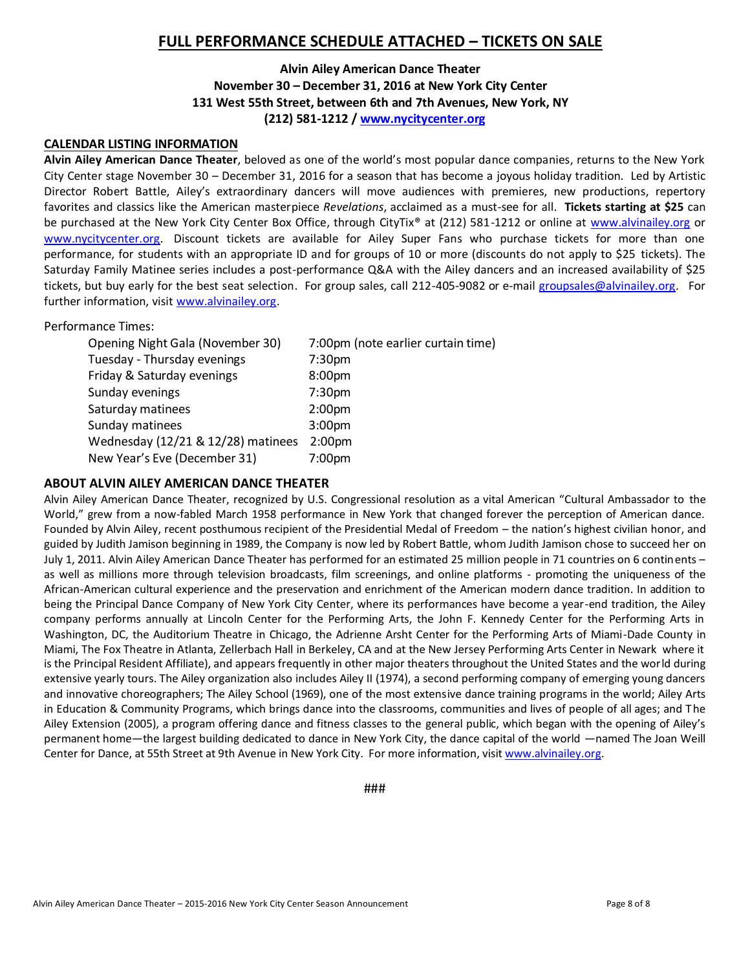# **FULL PERFORMANCE SCHEDULE ATTACHED – TICKETS ON SALE**

# **Alvin Ailey American Dance Theater November 30 – December 31, 2016 at New York City Center 131 West 55th Street, between 6th and 7th Avenues, New York, NY (212) 581-1212 / [www.nycitycenter.org](http://www.nycitycenter.org/)**

### **CALENDAR LISTING INFORMATION**

**Alvin Ailey American Dance Theater**, beloved as one of the world's most popular dance companies, returns to the New York City Center stage November 30 – December 31, 2016 for a season that has become a joyous holiday tradition. Led by Artistic Director Robert Battle, Ailey's extraordinary dancers will move audiences with premieres, new productions, repertory favorites and classics like the American masterpiece *Revelations*, acclaimed as a must-see for all. **Tickets starting at \$25** can be purchased at the New York City Center Box Office, through CityTix® at (212) 581-1212 or online at [www.alvinailey.org](http://www.alvinailey.org/) or [www.nycitycenter.org.](http://www.nycitycenter.org/) Discount tickets are available for Ailey Super Fans who purchase tickets for more than one performance, for students with an appropriate ID and for groups of 10 or more (discounts do not apply to \$25 tickets). The Saturday Family Matinee series includes a post-performance Q&A with the Ailey dancers and an increased availability of \$25 tickets, but buy early for the best seat selection. For group sales, call 212-405-9082 or e-mail [groupsales@alvinailey.org.](mailto:groupsales@alvinailey.org) For further information, visit [www.alvinailey.org.](http://www.alvinailey.org/)

### Performance Times:

| Opening Night Gala (November 30)   | 7:00pm (note earlier curtain time) |
|------------------------------------|------------------------------------|
| Tuesday - Thursday evenings        | 7:30 <sub>pm</sub>                 |
| Friday & Saturday evenings         | 8:00 <sub>pm</sub>                 |
| Sunday evenings                    | 7:30 <sub>pm</sub>                 |
| Saturday matinees                  | 2:00 <sub>pm</sub>                 |
| Sunday matinees                    | 3:00 <sub>pm</sub>                 |
| Wednesday (12/21 & 12/28) matinees | 2:00 <sub>pm</sub>                 |
| New Year's Eve (December 31)       | 7:00pm                             |

### **ABOUT ALVIN AILEY AMERICAN DANCE THEATER**

Alvin Ailey American Dance Theater, recognized by U.S. Congressional resolution as a vital American "Cultural Ambassador to the World," grew from a now-fabled March 1958 performance in New York that changed forever the perception of American dance. Founded by Alvin Ailey, recent posthumous recipient of the Presidential Medal of Freedom – the nation's highest civilian honor, and guided by Judith Jamison beginning in 1989, the Company is now led by Robert Battle, whom Judith Jamison chose to succeed her on July 1, 2011. Alvin Ailey American Dance Theater has performed for an estimated 25 million people in 71 countries on 6 continents – as well as millions more through television broadcasts, film screenings, and online platforms - promoting the uniqueness of the African‐American cultural experience and the preservation and enrichment of the American modern dance tradition. In addition to being the Principal Dance Company of New York City Center, where its performances have become a year-end tradition, the Ailey company performs annually at Lincoln Center for the Performing Arts, the John F. Kennedy Center for the Performing Arts in Washington, DC, the Auditorium Theatre in Chicago, the Adrienne Arsht Center for the Performing Arts of Miami‐Dade County in Miami, The Fox Theatre in Atlanta, Zellerbach Hall in Berkeley, CA and at the New Jersey Performing Arts Center in Newark where it is the Principal Resident Affiliate), and appears frequently in other major theaters throughout the United States and the world during extensive yearly tours. The Ailey organization also includes Ailey II (1974), a second performing company of emerging young dancers and innovative choreographers; The Ailey School (1969), one of the most extensive dance training programs in the world; Ailey Arts in Education & Community Programs, which brings dance into the classrooms, communities and lives of people of all ages; and The Ailey Extension (2005), a program offering dance and fitness classes to the general public, which began with the opening of Ailey's permanent home—the largest building dedicated to dance in New York City, the dance capital of the world —named The Joan Weill Center for Dance, at 55th Street at 9th Avenue in New York City. For more information, visi[t www.alvinailey.org.](http://www.alvinailey.org/)